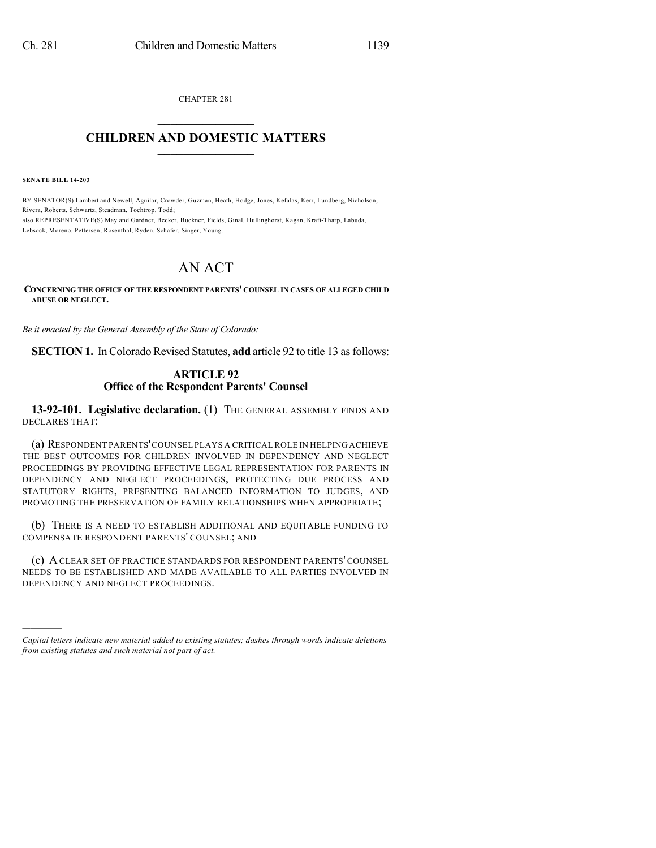CHAPTER 281  $\overline{\phantom{a}}$  . The set of the set of the set of the set of the set of the set of the set of the set of the set of the set of the set of the set of the set of the set of the set of the set of the set of the set of the set o

## **CHILDREN AND DOMESTIC MATTERS**  $\_$

**SENATE BILL 14-203**

)))))

BY SENATOR(S) Lambert and Newell, Aguilar, Crowder, Guzman, Heath, Hodge, Jones, Kefalas, Kerr, Lundberg, Nicholson, Rivera, Roberts, Schwartz, Steadman, Tochtrop, Todd; also REPRESENTATIVE(S) May and Gardner, Becker, Buckner, Fields, Ginal, Hullinghorst, Kagan, Kraft-Tharp, Labuda, Lebsock, Moreno, Pettersen, Rosenthal, Ryden, Schafer, Singer, Young.

## AN ACT

**CONCERNING THE OFFICE OF THE RESPONDENT PARENTS' COUNSEL IN CASES OF ALLEGED CHILD ABUSE OR NEGLECT.**

*Be it enacted by the General Assembly of the State of Colorado:*

**SECTION 1.** In Colorado Revised Statutes, add article 92 to title 13 as follows:

## **ARTICLE 92 Office of the Respondent Parents' Counsel**

**13-92-101. Legislative declaration.** (1) THE GENERAL ASSEMBLY FINDS AND DECLARES THAT:

(a) RESPONDENT PARENTS'COUNSEL PLAYS A CRITICAL ROLE IN HELPINGACHIEVE THE BEST OUTCOMES FOR CHILDREN INVOLVED IN DEPENDENCY AND NEGLECT PROCEEDINGS BY PROVIDING EFFECTIVE LEGAL REPRESENTATION FOR PARENTS IN DEPENDENCY AND NEGLECT PROCEEDINGS, PROTECTING DUE PROCESS AND STATUTORY RIGHTS, PRESENTING BALANCED INFORMATION TO JUDGES, AND PROMOTING THE PRESERVATION OF FAMILY RELATIONSHIPS WHEN APPROPRIATE;

(b) THERE IS A NEED TO ESTABLISH ADDITIONAL AND EQUITABLE FUNDING TO COMPENSATE RESPONDENT PARENTS' COUNSEL; AND

(c) A CLEAR SET OF PRACTICE STANDARDS FOR RESPONDENT PARENTS' COUNSEL NEEDS TO BE ESTABLISHED AND MADE AVAILABLE TO ALL PARTIES INVOLVED IN DEPENDENCY AND NEGLECT PROCEEDINGS.

*Capital letters indicate new material added to existing statutes; dashes through words indicate deletions from existing statutes and such material not part of act.*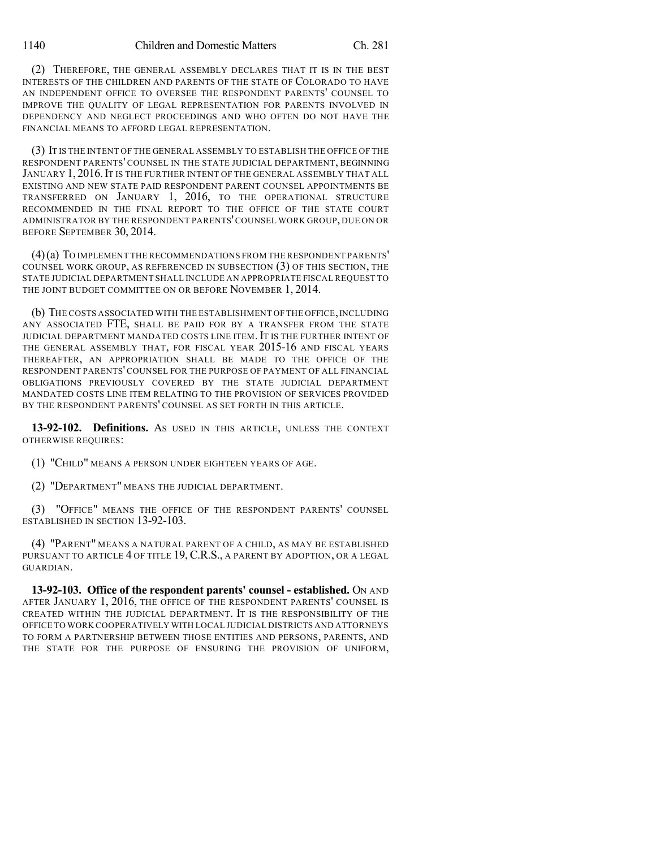(2) THEREFORE, THE GENERAL ASSEMBLY DECLARES THAT IT IS IN THE BEST INTERESTS OF THE CHILDREN AND PARENTS OF THE STATE OF COLORADO TO HAVE AN INDEPENDENT OFFICE TO OVERSEE THE RESPONDENT PARENTS' COUNSEL TO IMPROVE THE QUALITY OF LEGAL REPRESENTATION FOR PARENTS INVOLVED IN DEPENDENCY AND NEGLECT PROCEEDINGS AND WHO OFTEN DO NOT HAVE THE FINANCIAL MEANS TO AFFORD LEGAL REPRESENTATION.

(3) IT IS THE INTENT OF THE GENERAL ASSEMBLY TO ESTABLISH THE OFFICE OF THE RESPONDENT PARENTS' COUNSEL IN THE STATE JUDICIAL DEPARTMENT, BEGINNING JANUARY 1, 2016. IT IS THE FURTHER INTENT OF THE GENERAL ASSEMBLY THAT ALL EXISTING AND NEW STATE PAID RESPONDENT PARENT COUNSEL APPOINTMENTS BE TRANSFERRED ON JANUARY 1, 2016, TO THE OPERATIONAL STRUCTURE RECOMMENDED IN THE FINAL REPORT TO THE OFFICE OF THE STATE COURT ADMINISTRATOR BY THE RESPONDENT PARENTS'COUNSEL WORK GROUP, DUE ON OR BEFORE SEPTEMBER 30, 2014.

(4)(a) TO IMPLEMENT THE RECOMMENDATIONS FROM THE RESPONDENT PARENTS' COUNSEL WORK GROUP, AS REFERENCED IN SUBSECTION (3) OF THIS SECTION, THE STATE JUDICIAL DEPARTMENT SHALL INCLUDE AN APPROPRIATE FISCAL REQUEST TO THE JOINT BUDGET COMMITTEE ON OR BEFORE NOVEMBER 1, 2014.

(b) THE COSTS ASSOCIATED WITH THE ESTABLISHMENT OF THE OFFICE,INCLUDING ANY ASSOCIATED FTE, SHALL BE PAID FOR BY A TRANSFER FROM THE STATE JUDICIAL DEPARTMENT MANDATED COSTS LINE ITEM.IT IS THE FURTHER INTENT OF THE GENERAL ASSEMBLY THAT, FOR FISCAL YEAR 2015-16 AND FISCAL YEARS THEREAFTER, AN APPROPRIATION SHALL BE MADE TO THE OFFICE OF THE RESPONDENT PARENTS' COUNSEL FOR THE PURPOSE OF PAYMENT OF ALL FINANCIAL OBLIGATIONS PREVIOUSLY COVERED BY THE STATE JUDICIAL DEPARTMENT MANDATED COSTS LINE ITEM RELATING TO THE PROVISION OF SERVICES PROVIDED BY THE RESPONDENT PARENTS' COUNSEL AS SET FORTH IN THIS ARTICLE.

**13-92-102. Definitions.** AS USED IN THIS ARTICLE, UNLESS THE CONTEXT OTHERWISE REQUIRES:

(1) "CHILD" MEANS A PERSON UNDER EIGHTEEN YEARS OF AGE.

(2) "DEPARTMENT" MEANS THE JUDICIAL DEPARTMENT.

(3) "OFFICE" MEANS THE OFFICE OF THE RESPONDENT PARENTS' COUNSEL ESTABLISHED IN SECTION 13-92-103.

(4) "PARENT" MEANS A NATURAL PARENT OF A CHILD, AS MAY BE ESTABLISHED PURSUANT TO ARTICLE 4 OF TITLE 19, C.R.S., A PARENT BY ADOPTION, OR A LEGAL GUARDIAN.

**13-92-103. Office of the respondent parents' counsel - established.** ON AND AFTER JANUARY 1, 2016, THE OFFICE OF THE RESPONDENT PARENTS' COUNSEL IS CREATED WITHIN THE JUDICIAL DEPARTMENT. IT IS THE RESPONSIBILITY OF THE OFFICE TO WORK COOPERATIVELY WITH LOCAL JUDICIAL DISTRICTS AND ATTORNEYS TO FORM A PARTNERSHIP BETWEEN THOSE ENTITIES AND PERSONS, PARENTS, AND THE STATE FOR THE PURPOSE OF ENSURING THE PROVISION OF UNIFORM,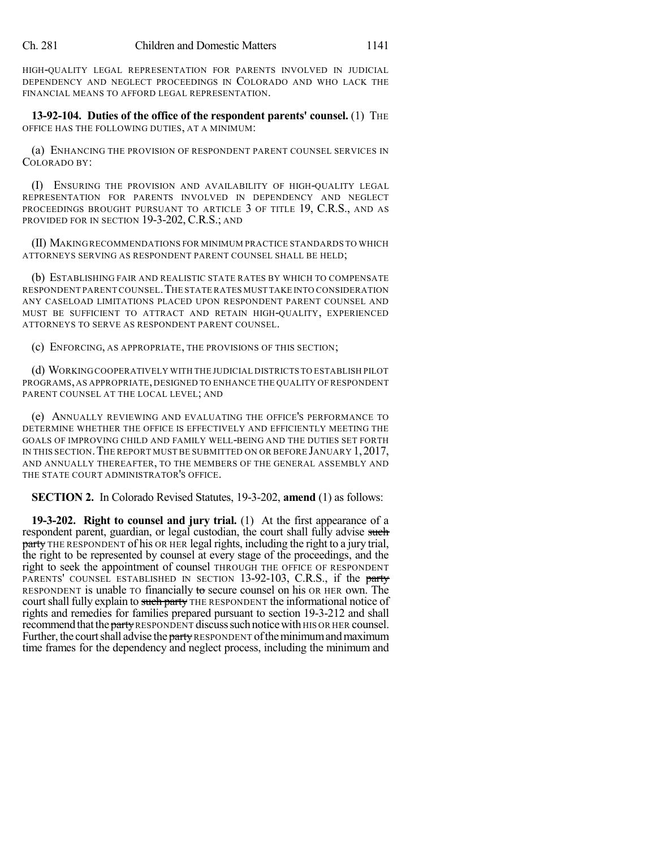HIGH-QUALITY LEGAL REPRESENTATION FOR PARENTS INVOLVED IN JUDICIAL DEPENDENCY AND NEGLECT PROCEEDINGS IN COLORADO AND WHO LACK THE FINANCIAL MEANS TO AFFORD LEGAL REPRESENTATION.

**13-92-104. Duties of the office of the respondent parents' counsel.** (1) THE OFFICE HAS THE FOLLOWING DUTIES, AT A MINIMUM:

(a) ENHANCING THE PROVISION OF RESPONDENT PARENT COUNSEL SERVICES IN COLORADO BY:

(I) ENSURING THE PROVISION AND AVAILABILITY OF HIGH-QUALITY LEGAL REPRESENTATION FOR PARENTS INVOLVED IN DEPENDENCY AND NEGLECT PROCEEDINGS BROUGHT PURSUANT TO ARTICLE 3 OF TITLE 19, C.R.S., AND AS PROVIDED FOR IN SECTION 19-3-202, C.R.S.; AND

(II) MAKINGRECOMMENDATIONS FOR MINIMUM PRACTICE STANDARDS TO WHICH ATTORNEYS SERVING AS RESPONDENT PARENT COUNSEL SHALL BE HELD;

(b) ESTABLISHING FAIR AND REALISTIC STATE RATES BY WHICH TO COMPENSATE RESPONDENT PARENT COUNSEL.THE STATE RATES MUST TAKE INTO CONSIDERATION ANY CASELOAD LIMITATIONS PLACED UPON RESPONDENT PARENT COUNSEL AND MUST BE SUFFICIENT TO ATTRACT AND RETAIN HIGH-QUALITY, EXPERIENCED ATTORNEYS TO SERVE AS RESPONDENT PARENT COUNSEL.

(c) ENFORCING, AS APPROPRIATE, THE PROVISIONS OF THIS SECTION;

(d) WORKINGCOOPERATIVELY WITH THE JUDICIAL DISTRICTS TO ESTABLISH PILOT PROGRAMS, AS APPROPRIATE, DESIGNED TO ENHANCE THE QUALITY OF RESPONDENT PARENT COUNSEL AT THE LOCAL LEVEL; AND

(e) ANNUALLY REVIEWING AND EVALUATING THE OFFICE'S PERFORMANCE TO DETERMINE WHETHER THE OFFICE IS EFFECTIVELY AND EFFICIENTLY MEETING THE GOALS OF IMPROVING CHILD AND FAMILY WELL-BEING AND THE DUTIES SET FORTH IN THIS SECTION. THE REPORT MUST BE SUBMITTED ON OR BEFORE JANUARY 1, 2017, AND ANNUALLY THEREAFTER, TO THE MEMBERS OF THE GENERAL ASSEMBLY AND THE STATE COURT ADMINISTRATOR'S OFFICE.

**SECTION 2.** In Colorado Revised Statutes, 19-3-202, **amend** (1) as follows:

**19-3-202. Right to counsel and jury trial.** (1) At the first appearance of a respondent parent, guardian, or legal custodian, the court shall fully advise such party THE RESPONDENT of his OR HER legal rights, including the right to a jury trial, the right to be represented by counsel at every stage of the proceedings, and the right to seek the appointment of counsel THROUGH THE OFFICE OF RESPONDENT PARENTS' COUNSEL ESTABLISHED IN SECTION 13-92-103, C.R.S., if the party RESPONDENT is unable TO financially to secure counsel on his OR HER own. The court shall fully explain to such party THE RESPONDENT the informational notice of rights and remedies for families prepared pursuant to section 19-3-212 and shall recommend that the party RESPONDENT discuss such notice with HIS OR HER counsel. Further, the court shall advise the party RESPONDENT of the minimum and maximum time frames for the dependency and neglect process, including the minimum and